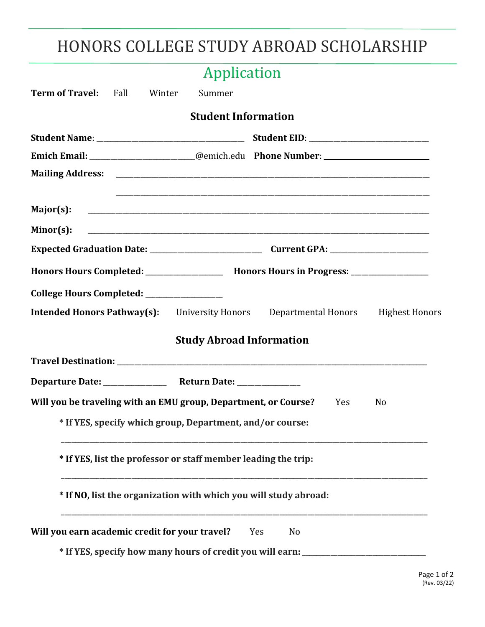# HONORS COLLEGE STUDY ABROAD SCHOLARSHIP

|                                                                 |  | Application                     |                                                                                         |                |
|-----------------------------------------------------------------|--|---------------------------------|-----------------------------------------------------------------------------------------|----------------|
| <b>Term of Travel:</b> Fall Winter                              |  | Summer                          |                                                                                         |                |
|                                                                 |  | <b>Student Information</b>      |                                                                                         |                |
|                                                                 |  |                                 |                                                                                         |                |
|                                                                 |  |                                 | Emich Email: ______________________@emich.edu Phone Number: ____________________        |                |
|                                                                 |  |                                 |                                                                                         |                |
| Major(s):                                                       |  |                                 |                                                                                         |                |
| $Minor(s)$ :                                                    |  |                                 |                                                                                         |                |
|                                                                 |  |                                 |                                                                                         |                |
|                                                                 |  |                                 | Honors Hours Completed: _________________ Honors Hours in Progress: ____________        |                |
| College Hours Completed: _________________                      |  |                                 |                                                                                         |                |
|                                                                 |  |                                 | <b>Intended Honors Pathway(s):</b> University Honors Departmental Honors Highest Honors |                |
|                                                                 |  | <b>Study Abroad Information</b> |                                                                                         |                |
|                                                                 |  |                                 |                                                                                         |                |
|                                                                 |  |                                 |                                                                                         |                |
| Will you be traveling with an EMU group, Department, or Course? |  |                                 | Yes                                                                                     | N <sub>0</sub> |
|                                                                 |  |                                 | * If YES, specify which group, Department, and/or course:                               |                |
|                                                                 |  |                                 | * If YES, list the professor or staff member leading the trip:                          |                |
|                                                                 |  |                                 | * If NO, list the organization with which you will study abroad:                        |                |
| Will you earn academic credit for your travel?                  |  |                                 | N <sub>0</sub><br>Yes                                                                   |                |
|                                                                 |  |                                 | * If YES, specify how many hours of credit you will earn: ______________________        |                |
|                                                                 |  |                                 |                                                                                         |                |